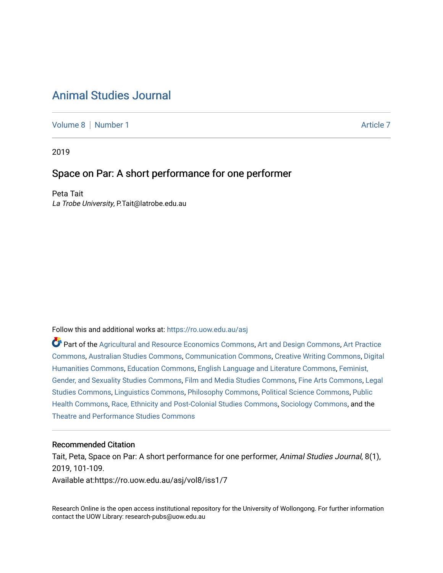# [Animal Studies Journal](https://ro.uow.edu.au/asj)

[Volume 8](https://ro.uow.edu.au/asj/vol8) | [Number 1](https://ro.uow.edu.au/asj/vol8/iss1) Article 7

2019

# Space on Par: A short performance for one performer

Peta Tait La Trobe University, P.Tait@latrobe.edu.au

Follow this and additional works at: [https://ro.uow.edu.au/asj](https://ro.uow.edu.au/asj?utm_source=ro.uow.edu.au%2Fasj%2Fvol8%2Fiss1%2F7&utm_medium=PDF&utm_campaign=PDFCoverPages) 

Part of the [Agricultural and Resource Economics Commons,](http://network.bepress.com/hgg/discipline/317?utm_source=ro.uow.edu.au%2Fasj%2Fvol8%2Fiss1%2F7&utm_medium=PDF&utm_campaign=PDFCoverPages) [Art and Design Commons](http://network.bepress.com/hgg/discipline/1049?utm_source=ro.uow.edu.au%2Fasj%2Fvol8%2Fiss1%2F7&utm_medium=PDF&utm_campaign=PDFCoverPages), [Art Practice](http://network.bepress.com/hgg/discipline/509?utm_source=ro.uow.edu.au%2Fasj%2Fvol8%2Fiss1%2F7&utm_medium=PDF&utm_campaign=PDFCoverPages) [Commons](http://network.bepress.com/hgg/discipline/509?utm_source=ro.uow.edu.au%2Fasj%2Fvol8%2Fiss1%2F7&utm_medium=PDF&utm_campaign=PDFCoverPages), [Australian Studies Commons,](http://network.bepress.com/hgg/discipline/1020?utm_source=ro.uow.edu.au%2Fasj%2Fvol8%2Fiss1%2F7&utm_medium=PDF&utm_campaign=PDFCoverPages) [Communication Commons,](http://network.bepress.com/hgg/discipline/325?utm_source=ro.uow.edu.au%2Fasj%2Fvol8%2Fiss1%2F7&utm_medium=PDF&utm_campaign=PDFCoverPages) [Creative Writing Commons,](http://network.bepress.com/hgg/discipline/574?utm_source=ro.uow.edu.au%2Fasj%2Fvol8%2Fiss1%2F7&utm_medium=PDF&utm_campaign=PDFCoverPages) [Digital](http://network.bepress.com/hgg/discipline/1286?utm_source=ro.uow.edu.au%2Fasj%2Fvol8%2Fiss1%2F7&utm_medium=PDF&utm_campaign=PDFCoverPages) [Humanities Commons,](http://network.bepress.com/hgg/discipline/1286?utm_source=ro.uow.edu.au%2Fasj%2Fvol8%2Fiss1%2F7&utm_medium=PDF&utm_campaign=PDFCoverPages) [Education Commons,](http://network.bepress.com/hgg/discipline/784?utm_source=ro.uow.edu.au%2Fasj%2Fvol8%2Fiss1%2F7&utm_medium=PDF&utm_campaign=PDFCoverPages) [English Language and Literature Commons](http://network.bepress.com/hgg/discipline/455?utm_source=ro.uow.edu.au%2Fasj%2Fvol8%2Fiss1%2F7&utm_medium=PDF&utm_campaign=PDFCoverPages), [Feminist,](http://network.bepress.com/hgg/discipline/559?utm_source=ro.uow.edu.au%2Fasj%2Fvol8%2Fiss1%2F7&utm_medium=PDF&utm_campaign=PDFCoverPages) [Gender, and Sexuality Studies Commons](http://network.bepress.com/hgg/discipline/559?utm_source=ro.uow.edu.au%2Fasj%2Fvol8%2Fiss1%2F7&utm_medium=PDF&utm_campaign=PDFCoverPages), [Film and Media Studies Commons](http://network.bepress.com/hgg/discipline/563?utm_source=ro.uow.edu.au%2Fasj%2Fvol8%2Fiss1%2F7&utm_medium=PDF&utm_campaign=PDFCoverPages), [Fine Arts Commons,](http://network.bepress.com/hgg/discipline/1141?utm_source=ro.uow.edu.au%2Fasj%2Fvol8%2Fiss1%2F7&utm_medium=PDF&utm_campaign=PDFCoverPages) [Legal](http://network.bepress.com/hgg/discipline/366?utm_source=ro.uow.edu.au%2Fasj%2Fvol8%2Fiss1%2F7&utm_medium=PDF&utm_campaign=PDFCoverPages)  [Studies Commons,](http://network.bepress.com/hgg/discipline/366?utm_source=ro.uow.edu.au%2Fasj%2Fvol8%2Fiss1%2F7&utm_medium=PDF&utm_campaign=PDFCoverPages) [Linguistics Commons,](http://network.bepress.com/hgg/discipline/371?utm_source=ro.uow.edu.au%2Fasj%2Fvol8%2Fiss1%2F7&utm_medium=PDF&utm_campaign=PDFCoverPages) [Philosophy Commons](http://network.bepress.com/hgg/discipline/525?utm_source=ro.uow.edu.au%2Fasj%2Fvol8%2Fiss1%2F7&utm_medium=PDF&utm_campaign=PDFCoverPages), [Political Science Commons](http://network.bepress.com/hgg/discipline/386?utm_source=ro.uow.edu.au%2Fasj%2Fvol8%2Fiss1%2F7&utm_medium=PDF&utm_campaign=PDFCoverPages), [Public](http://network.bepress.com/hgg/discipline/738?utm_source=ro.uow.edu.au%2Fasj%2Fvol8%2Fiss1%2F7&utm_medium=PDF&utm_campaign=PDFCoverPages) [Health Commons,](http://network.bepress.com/hgg/discipline/738?utm_source=ro.uow.edu.au%2Fasj%2Fvol8%2Fiss1%2F7&utm_medium=PDF&utm_campaign=PDFCoverPages) [Race, Ethnicity and Post-Colonial Studies Commons,](http://network.bepress.com/hgg/discipline/566?utm_source=ro.uow.edu.au%2Fasj%2Fvol8%2Fiss1%2F7&utm_medium=PDF&utm_campaign=PDFCoverPages) [Sociology Commons](http://network.bepress.com/hgg/discipline/416?utm_source=ro.uow.edu.au%2Fasj%2Fvol8%2Fiss1%2F7&utm_medium=PDF&utm_campaign=PDFCoverPages), and the [Theatre and Performance Studies Commons](http://network.bepress.com/hgg/discipline/552?utm_source=ro.uow.edu.au%2Fasj%2Fvol8%2Fiss1%2F7&utm_medium=PDF&utm_campaign=PDFCoverPages) 

### Recommended Citation

Tait, Peta, Space on Par: A short performance for one performer, Animal Studies Journal, 8(1), 2019, 101-109. Available at:https://ro.uow.edu.au/asj/vol8/iss1/7

Research Online is the open access institutional repository for the University of Wollongong. For further information contact the UOW Library: research-pubs@uow.edu.au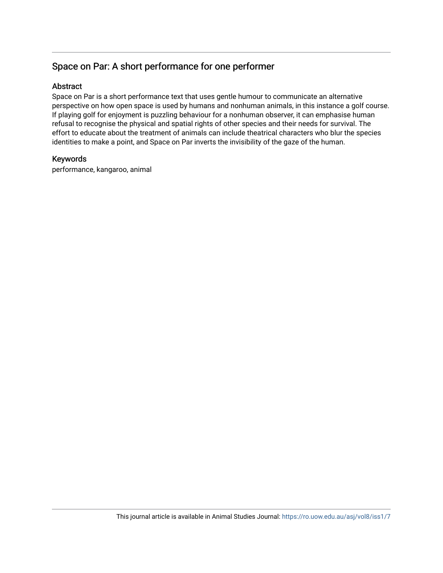# Space on Par: A short performance for one performer

## **Abstract**

Space on Par is a short performance text that uses gentle humour to communicate an alternative perspective on how open space is used by humans and nonhuman animals, in this instance a golf course. If playing golf for enjoyment is puzzling behaviour for a nonhuman observer, it can emphasise human refusal to recognise the physical and spatial rights of other species and their needs for survival. The effort to educate about the treatment of animals can include theatrical characters who blur the species identities to make a point, and Space on Par inverts the invisibility of the gaze of the human.

## Keywords

performance, kangaroo, animal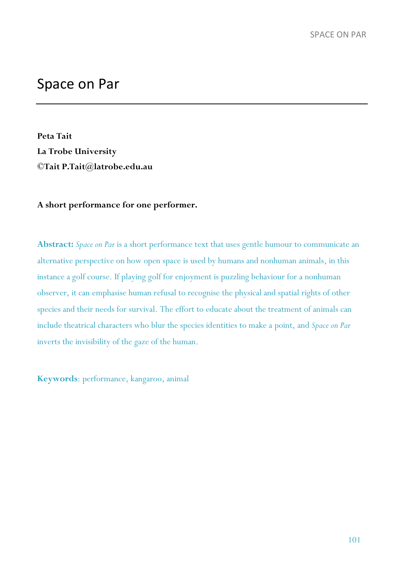# Space on Par

**Peta Tait La Trobe University ©Tait P.Tait@latrobe.edu.au**

### **A short performance for one performer.**

**Abstract:** *Space on Par* is a short performance text that uses gentle humour to communicate an alternative perspective on how open space is used by humans and nonhuman animals, in this instance a golf course. If playing golf for enjoyment is puzzling behaviour for a nonhuman observer, it can emphasise human refusal to recognise the physical and spatial rights of other species and their needs for survival. The effort to educate about the treatment of animals can include theatrical characters who blur the species identities to make a point, and *Space on Par* inverts the invisibility of the gaze of the human.

**Keywords**: performance, kangaroo, animal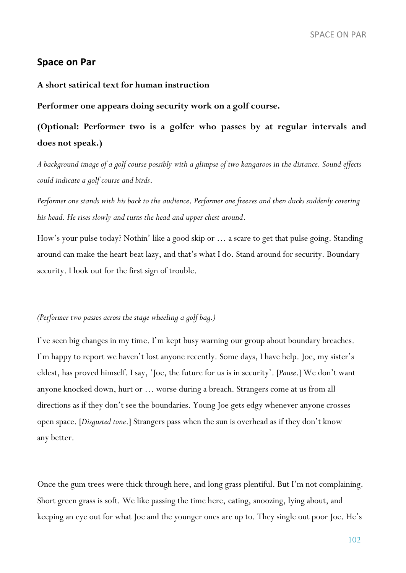### **Space on Par**

#### **A short satirical text for human instruction**

**Performer one appears doing security work on a golf course.** 

**(Optional: Performer two is a golfer who passes by at regular intervals and does not speak.)** 

*A background image of a golf course possibly with a glimpse of two kangaroos in the distance. Sound effects could indicate a golf course and birds*.

*Performer one stands with his back to the audience*. *Performer one freezes and then ducks suddenly covering his head. He rises slowly and turns the head and upper chest around*.

How's your pulse today? Nothin' like a good skip or … a scare to get that pulse going. Standing around can make the heart beat lazy, and that's what I do. Stand around for security. Boundary security. I look out for the first sign of trouble.

#### *(Performer two passes across the stage wheeling a golf bag.)*

I've seen big changes in my time. I'm kept busy warning our group about boundary breaches. I'm happy to report we haven't lost anyone recently. Some days, I have help. Joe, my sister's eldest, has proved himself. I say, 'Joe, the future for us is in security'. [*Pause*.] We don't want anyone knocked down, hurt or … worse during a breach. Strangers come at us from all directions as if they don't see the boundaries. Young Joe gets edgy whenever anyone crosses open space. [*Disgusted tone*.] Strangers pass when the sun is overhead as if they don't know any better.

Once the gum trees were thick through here, and long grass plentiful. But I'm not complaining. Short green grass is soft. We like passing the time here, eating, snoozing, lying about, and keeping an eye out for what Joe and the younger ones are up to. They single out poor Joe. He's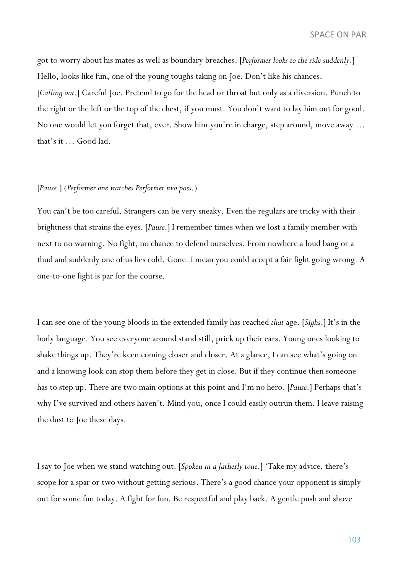SPACE ON PAR

got to worry about his mates as well as boundary breaches. [*Performer looks to the side suddenly*.] Hello, looks like fun, one of the young toughs taking on Joe. Don't like his chances. [*Calling out*.] Careful Joe. Pretend to go for the head or throat but only as a diversion. Punch to the right or the left or the top of the chest, if you must. You don't want to lay him out for good. No one would let you forget that, ever. Show him you're in charge, step around, move away … that's it … Good lad.

#### [*Pause*.] (*Performer one watches Performer two pass*.)

You can't be too careful. Strangers can be very sneaky. Even the regulars are tricky with their brightness that strains the eyes. [*Pause*.] I remember times when we lost a family member with next to no warning. No fight, no chance to defend ourselves. From nowhere a loud bang or a thud and suddenly one of us lies cold. Gone. I mean you could accept a fair fight going wrong. A one-to-one fight is par for the course.

I can see one of the young bloods in the extended family has reached *that* age. [*Sighs*.] It's in the body language. You see everyone around stand still, prick up their ears. Young ones looking to shake things up. They're keen coming closer and closer. At a glance, I can see what's going on and a knowing look can stop them before they get in close. But if they continue then someone has to step up. There are two main options at this point and I'm no hero. [*Pause*.] Perhaps that's why I've survived and others haven't. Mind you, once I could easily outrun them. I leave raising the dust to Joe these days.

I say to Joe when we stand watching out. [*Spoken in a fatherly tone*.] 'Take my advice, there's scope for a spar or two without getting serious. There's a good chance your opponent is simply out for some fun today. A fight for fun. Be respectful and play back. A gentle push and shove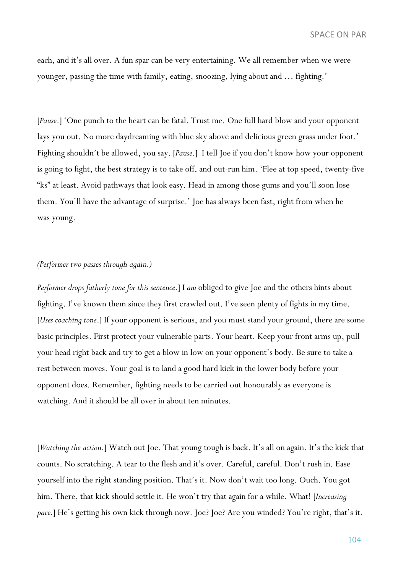each, and it's all over. A fun spar can be very entertaining. We all remember when we were younger, passing the time with family, eating, snoozing, lying about and … fighting.'

[*Pause*.] 'One punch to the heart can be fatal. Trust me. One full hard blow and your opponent lays you out. No more daydreaming with blue sky above and delicious green grass under foot.' Fighting shouldn't be allowed, you say. [*Pause*.] I tell Joe if you don't know how your opponent is going to fight, the best strategy is to take off, and out-run him. 'Flee at top speed, twenty-five "ks" at least. Avoid pathways that look easy. Head in among those gums and you'll soon lose them. You'll have the advantage of surprise.' Joe has always been fast, right from when he was young.

#### *(Performer two passes through again*.*)*

*Performer drops fatherly tone for this sentence*.] I *am* obliged to give Joe and the others hints about fighting. I've known them since they first crawled out. I've seen plenty of fights in my time. [*Uses coaching tone*.] If your opponent is serious, and you must stand your ground, there are some basic principles. First protect your vulnerable parts. Your heart. Keep your front arms up, pull your head right back and try to get a blow in low on your opponent's body. Be sure to take a rest between moves. Your goal is to land a good hard kick in the lower body before your opponent does. Remember, fighting needs to be carried out honourably as everyone is watching. And it should be all over in about ten minutes.

[*Watching the action*.] Watch out Joe. That young tough is back. It's all on again. It's the kick that counts. No scratching. A tear to the flesh and it's over. Careful, careful. Don't rush in. Ease yourself into the right standing position. That's it. Now don't wait too long. Ouch. You got him. There, that kick should settle it. He won't try that again for a while. What! [*Increasing pace.*] He's getting his own kick through now. Joe? Joe? Are you winded? You're right, that's it.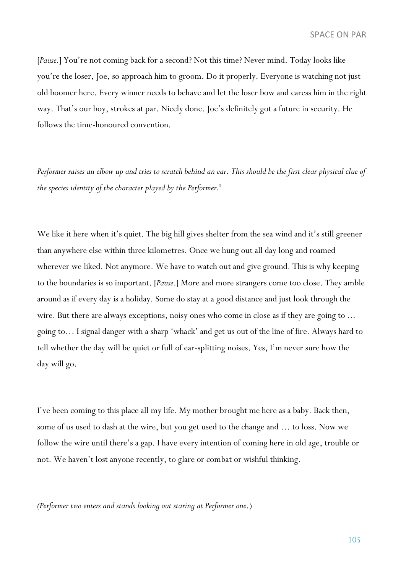SPACE ON PAR

[*Pause.*] You're not coming back for a second? Not this time? Never mind. Today looks like you're the loser, Joe, so approach him to groom. Do it properly. Everyone is watching not just old boomer here. Every winner needs to behave and let the loser bow and caress him in the right way. That's our boy, strokes at par. Nicely done. Joe's definitely got a future in security. He follows the time-honoured convention.

*Performer raises an elbow up and tries to scratch behind an ear*. *This should be the first clear physical clue of the species identity of the character played by the Performer.***<sup>1</sup>**

We like it here when it's quiet. The big hill gives shelter from the sea wind and it's still greener than anywhere else within three kilometres. Once we hung out all day long and roamed wherever we liked. Not anymore. We have to watch out and give ground. This is why keeping to the boundaries is so important. [*Pause*.] More and more strangers come too close. They amble around as if every day is a holiday. Some do stay at a good distance and just look through the wire. But there are always exceptions, noisy ones who come in close as if they are going to ... going to… I signal danger with a sharp 'whack' and get us out of the line of fire. Always hard to tell whether the day will be quiet or full of ear-splitting noises. Yes, I'm never sure how the day will go.

I've been coming to this place all my life. My mother brought me here as a baby. Back then, some of us used to dash at the wire, but you get used to the change and … to loss. Now we follow the wire until there's a gap. I have every intention of coming here in old age, trouble or not. We haven't lost anyone recently, to glare or combat or wishful thinking.

*(Performer two enters and stands looking out staring at Performer one*.)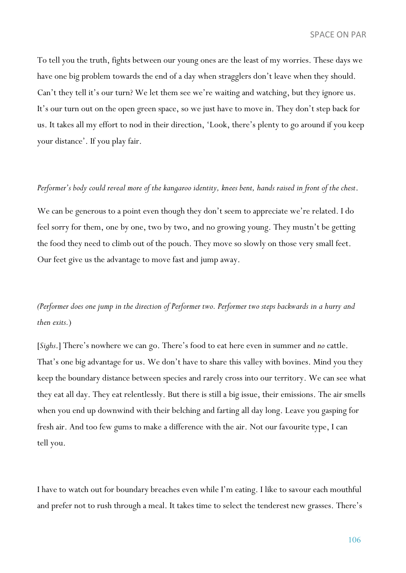To tell you the truth, fights between our young ones are the least of my worries. These days we have one big problem towards the end of a day when stragglers don't leave when they should. Can't they tell it's our turn? We let them see we're waiting and watching, but they ignore us. It's our turn out on the open green space, so we just have to move in. They don't step back for us. It takes all my effort to nod in their direction, 'Look, there's plenty to go around if you keep your distance'. If you play fair.

#### *Performer's body could reveal more of the kangaroo identity, knees bent, hands raised in front of the chest*.

We can be generous to a point even though they don't seem to appreciate we're related. I do feel sorry for them, one by one, two by two, and no growing young. They mustn't be getting the food they need to climb out of the pouch. They move so slowly on those very small feet. Our feet give us the advantage to move fast and jump away.

*(Performer does one jump in the direction of Performer two. Performer two steps backwards in a hurry and then exits.*)

[*Sighs*.] There's nowhere we can go. There's food to eat here even in summer and *no* cattle. That's one big advantage for us. We don't have to share this valley with bovines. Mind you they keep the boundary distance between species and rarely cross into our territory. We can see what they eat all day. They eat relentlessly. But there is still a big issue, their emissions. The air smells when you end up downwind with their belching and farting all day long. Leave you gasping for fresh air. And too few gums to make a difference with the air. Not our favourite type, I can tell you.

I have to watch out for boundary breaches even while I'm eating. I like to savour each mouthful and prefer not to rush through a meal. It takes time to select the tenderest new grasses. There's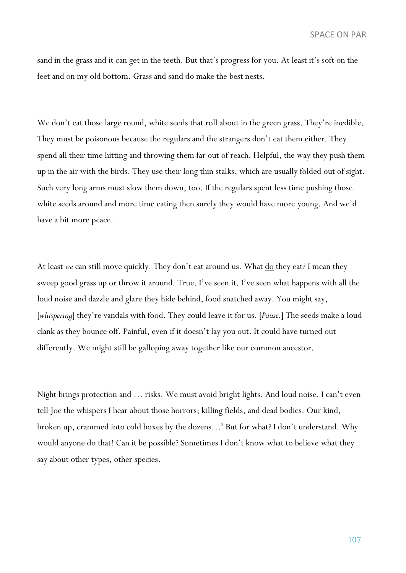sand in the grass and it can get in the teeth. But that's progress for you. At least it's soft on the feet and on my old bottom. Grass and sand do make the best nests.

We don't eat those large round, white seeds that roll about in the green grass. They're inedible. They must be poisonous because the regulars and the strangers don't eat them either. They spend all their time hitting and throwing them far out of reach. Helpful, the way they push them up in the air with the birds. They use their long thin stalks, which are usually folded out of sight. Such very long arms must slow them down, too. If the regulars spent less time pushing those white seeds around and more time eating then surely they would have more young. And we'd have a bit more peace.

At least *we* can still move quickly. They don't eat around us. What <u>do</u> they eat? I mean they sweep good grass up or throw it around. True. I've seen it. I've seen what happens with all the loud noise and dazzle and glare they hide behind, food snatched away. You might say, [*whispering*] they're vandals with food. They could leave it for us. [*Pause.*] The seeds make a loud clank as they bounce off. Painful, even if it doesn't lay you out. It could have turned out differently. We might still be galloping away together like our common ancestor.

Night brings protection and … risks. We must avoid bright lights. And loud noise. I can't even tell Joe the whispers I hear about those horrors; killing fields, and dead bodies. Our kind, broken up, crammed into cold boxes by the dozens…2 But for what? I don't understand. Why would anyone do that! Can it be possible? Sometimes I don't know what to believe what they say about other types, other species.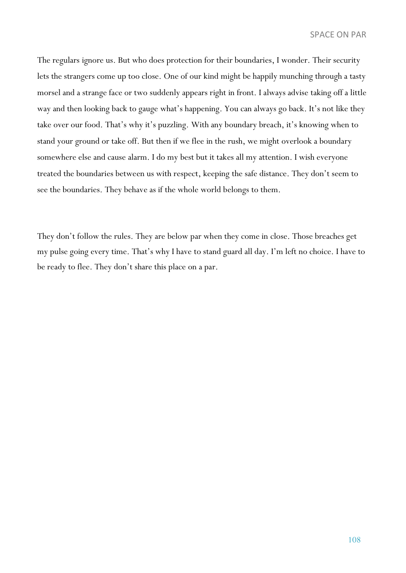The regulars ignore us. But who does protection for their boundaries, I wonder. Their security lets the strangers come up too close. One of our kind might be happily munching through a tasty morsel and a strange face or two suddenly appears right in front. I always advise taking off a little way and then looking back to gauge what's happening. You can always go back. It's not like they take over our food. That's why it's puzzling. With any boundary breach, it's knowing when to stand your ground or take off. But then if we flee in the rush, we might overlook a boundary somewhere else and cause alarm. I do my best but it takes all my attention. I wish everyone treated the boundaries between us with respect, keeping the safe distance. They don't seem to see the boundaries. They behave as if the whole world belongs to them.

They don't follow the rules. They are below par when they come in close. Those breaches get my pulse going every time. That's why I have to stand guard all day. I'm left no choice. I have to be ready to flee. They don't share this place on a par.